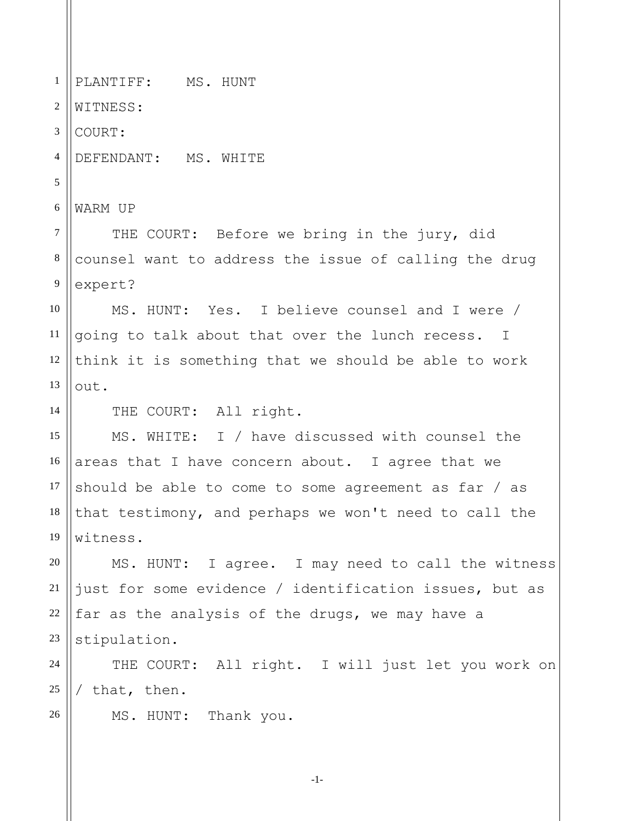1 2 3 4 5 6 7 8 9 10 11 12 13 14 15 16 17 18 19 20 21 22 23 24 25 26 PLANTIFF: MS. HUNT WITNESS: COURT: DEFENDANT: MS. WHITE WARM UP THE COURT: Before we bring in the jury, did counsel want to address the issue of calling the drug expert? MS. HUNT: Yes. I believe counsel and I were / going to talk about that over the lunch recess. I think it is something that we should be able to work out. THE COURT: All right. MS. WHITE: I / have discussed with counsel the areas that I have concern about. I agree that we should be able to come to some agreement as far / as that testimony, and perhaps we won't need to call the witness. MS. HUNT: I agree. I may need to call the witness just for some evidence / identification issues, but as far as the analysis of the drugs, we may have a stipulation. THE COURT: All right. I will just let you work on / that, then. MS. HUNT: Thank you.

-1-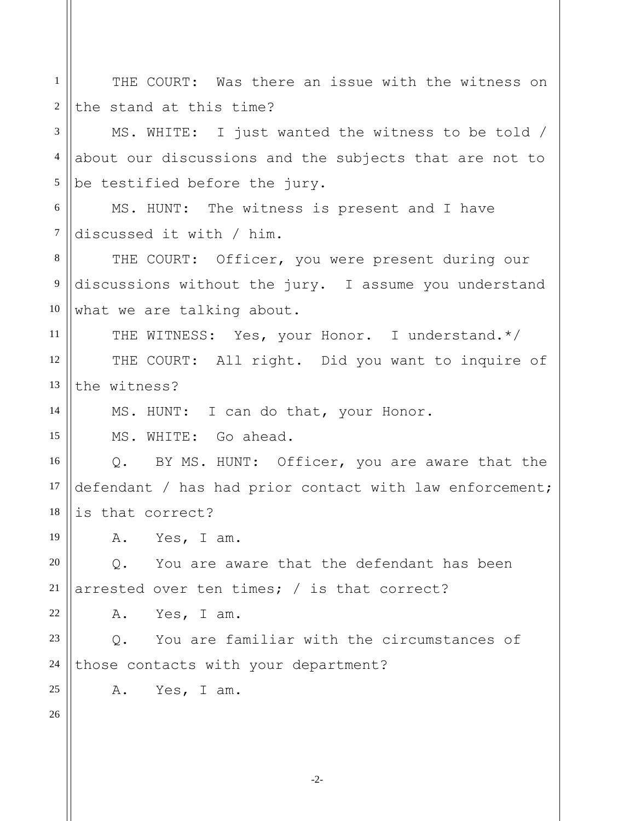| $\mathbf{1}$   | THE COURT: Was there an issue with the witness on       |
|----------------|---------------------------------------------------------|
| $\overline{2}$ | the stand at this time?                                 |
| 3              | MS. WHITE: I just wanted the witness to be told /       |
| $\overline{4}$ | about our discussions and the subjects that are not to  |
| $\mathfrak s$  | be testified before the jury.                           |
| 6              | MS. HUNT: The witness is present and I have             |
| $\tau$         | discussed it with / him.                                |
| 8              | THE COURT: Officer, you were present during our         |
| 9              | discussions without the jury. I assume you understand   |
| 10             | what we are talking about.                              |
| 11             | THE WITNESS: Yes, your Honor. I understand.*/           |
| 12             | THE COURT: All right. Did you want to inquire of        |
| 13             | the witness?                                            |
| 14             | MS. HUNT: I can do that, your Honor.                    |
| 15             | MS. WHITE: Go ahead.                                    |
| 16             | Q. BY MS. HUNT: Officer, you are aware that the         |
| 17             | defendant / has had prior contact with law enforcement; |
| 18             | is that correct?                                        |
| 19             | A.<br>Yes, I am.                                        |
| 20             | You are aware that the defendant has been<br>Q.         |
| 21             | arrested over ten times; $/$ is that correct?           |
| 22             | Yes, I am.<br>Α.                                        |
| 23             | You are familiar with the circumstances of<br>$Q$ .     |
| 24             | those contacts with your department?                    |
| 25             | A. Yes, I am.                                           |
| 26             |                                                         |
|                |                                                         |

-2-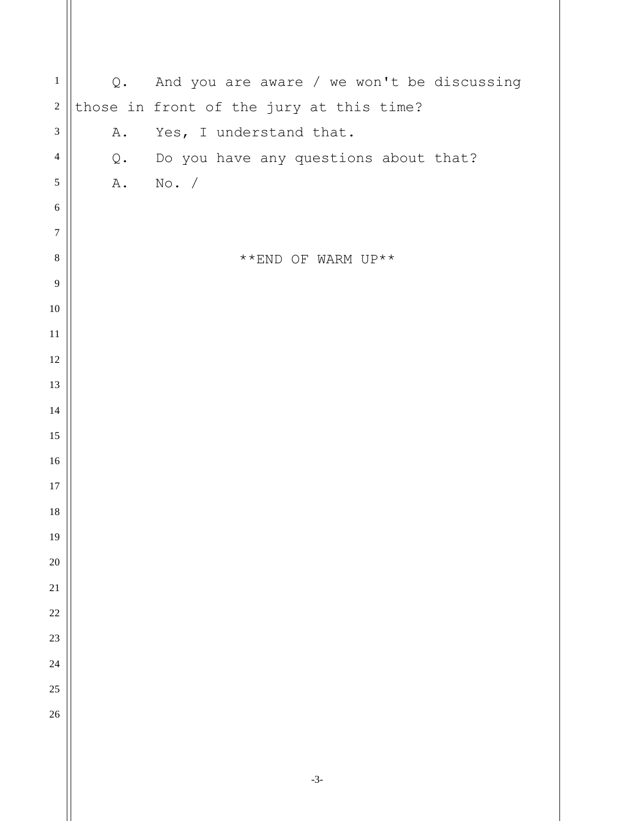| $\,1\,$          | Q.    | And you are aware / we won't be discussing         |
|------------------|-------|----------------------------------------------------|
| $\overline{c}$   |       | those in front of the jury at this time?           |
| $\mathfrak{Z}$   | Α.    | Yes, I understand that.                            |
| $\overline{4}$   | $Q$ . | Do you have any questions about that?              |
| 5                | A.    | No. /                                              |
| $\sqrt{6}$       |       |                                                    |
| $\boldsymbol{7}$ |       |                                                    |
| $8\,$            |       | $^{\star\;\star}$ END OF WARM UP $^{\star\;\star}$ |
| 9                |       |                                                    |
| $10\,$           |       |                                                    |
| $11\,$           |       |                                                    |
| $12\,$           |       |                                                    |
| 13               |       |                                                    |
| $14$             |       |                                                    |
| 15               |       |                                                    |
| $16\,$           |       |                                                    |
| $17\,$           |       |                                                    |
| $18\,$           |       |                                                    |
| 19               |       |                                                    |
| $20\,$           |       |                                                    |
| 21               |       |                                                    |
| $22\,$           |       |                                                    |
| 23               |       |                                                    |
| 24               |       |                                                    |
| 25               |       |                                                    |
| 26               |       |                                                    |
|                  |       |                                                    |
|                  |       |                                                    |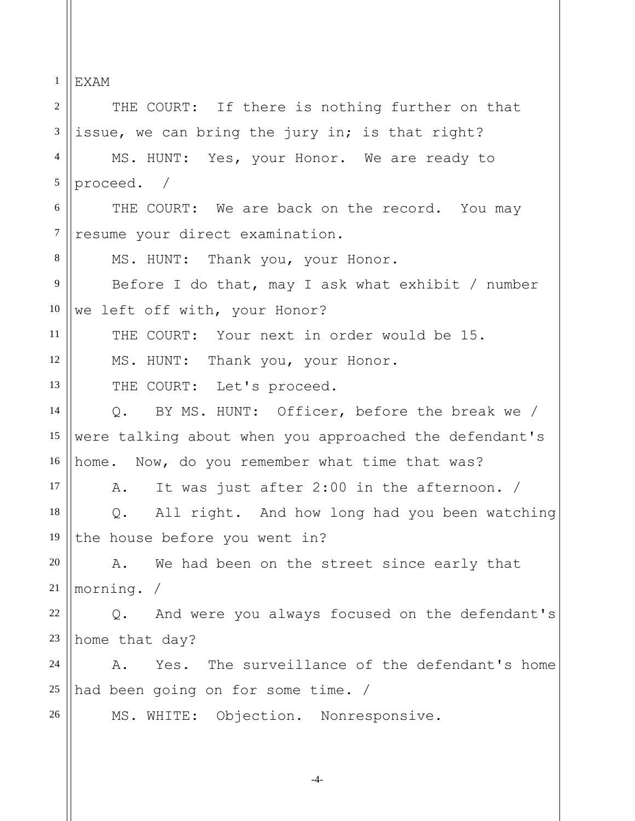1 2 3 4 5 6 7 8 9 10 11 12 13 14 15 16 17 18 19 20 21 22 23 24 25 26 EXAM THE COURT: If there is nothing further on that issue, we can bring the jury in; is that right? MS. HUNT: Yes, your Honor. We are ready to proceed. / THE COURT: We are back on the record. You may resume your direct examination. MS. HUNT: Thank you, your Honor. Before I do that, may I ask what exhibit / number we left off with, your Honor? THE COURT: Your next in order would be 15. MS. HUNT: Thank you, your Honor. THE COURT: Let's proceed. Q. BY MS. HUNT: Officer, before the break we / were talking about when you approached the defendant's home. Now, do you remember what time that was? A. It was just after 2:00 in the afternoon. / Q. All right. And how long had you been watching the house before you went in? A. We had been on the street since early that morning. / Q. And were you always focused on the defendant's home that day? A. Yes. The surveillance of the defendant's home had been going on for some time. / MS. WHITE: Objection. Nonresponsive.

-4-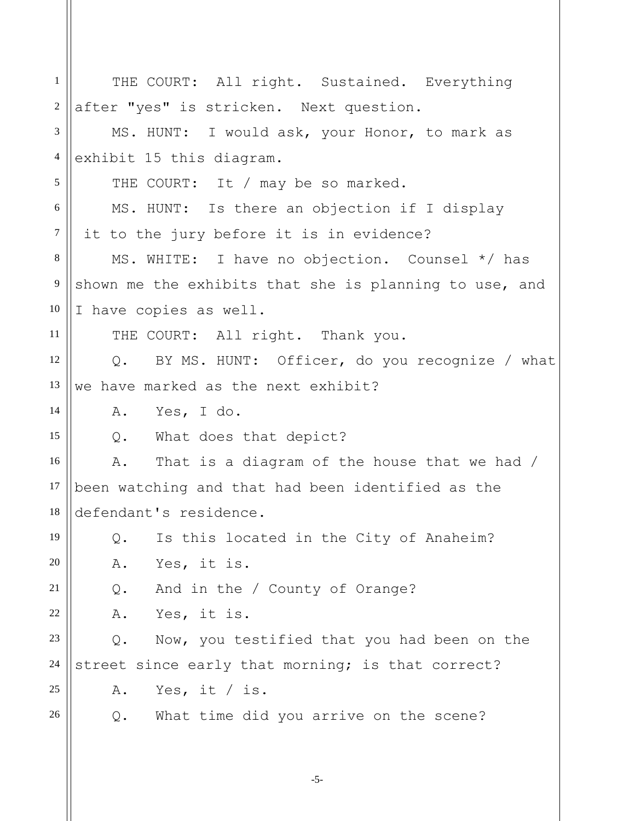| $\mathbf{1}$   | THE COURT: All right. Sustained. Everything            |
|----------------|--------------------------------------------------------|
| $\overline{2}$ | after "yes" is stricken. Next question.                |
| 3              | MS. HUNT: I would ask, your Honor, to mark as          |
| $\overline{4}$ | exhibit 15 this diagram.                               |
| 5              | THE COURT: It / may be so marked.                      |
| 6              | MS. HUNT: Is there an objection if I display           |
| $\tau$         | it to the jury before it is in evidence?               |
| 8              | MS. WHITE: I have no objection. Counsel */ has         |
| 9              | shown me the exhibits that she is planning to use, and |
| 10             | I have copies as well.                                 |
| 11             | THE COURT: All right. Thank you.                       |
| 12             | Q. BY MS. HUNT: Officer, do you recognize / what       |
| 13             | we have marked as the next exhibit?                    |
| 14             | A. Yes, I do.                                          |
| 15             | Q. What does that depict?                              |
| 16             | That is a diagram of the house that we had /<br>Α.     |
| 17             | been watching and that had been identified as the      |
| 18             | defendant's residence.                                 |
| 19             | Is this located in the City of Anaheim?<br>Q.          |
| 20             | Yes, it is.<br>Α.                                      |
| 21             | And in the / County of Orange?<br>Q.                   |
| $22\,$         | Yes, it is.<br>Α.                                      |
| 23             | Now, you testified that you had been on the<br>Q.      |
| 24             | street since early that morning; is that correct?      |
| 25             | Yes, it / is.<br>Α.                                    |
| 26             | What time did you arrive on the scene?<br>Q.           |
|                |                                                        |

-5-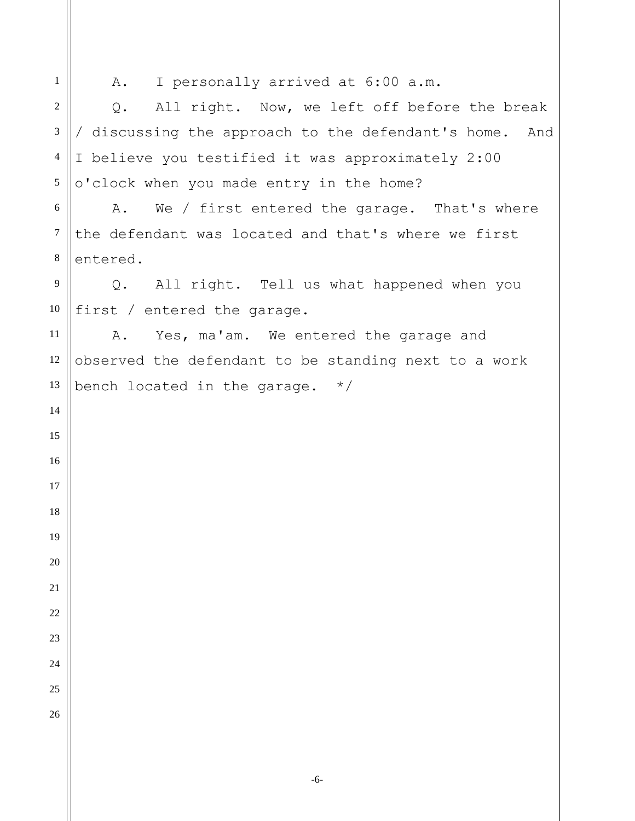A. I personally arrived at 6:00 a.m.

 Q. All right. Now, we left off before the break / discussing the approach to the defendant's home. And I believe you testified it was approximately 2:00 o'clock when you made entry in the home?

 A. We / first entered the garage. That's where the defendant was located and that's where we first entered.

Q. All right. Tell us what happened when you first / entered the garage.

A. Yes, ma'am. We entered the garage and observed the defendant to be standing next to a work bench located in the garage. \*/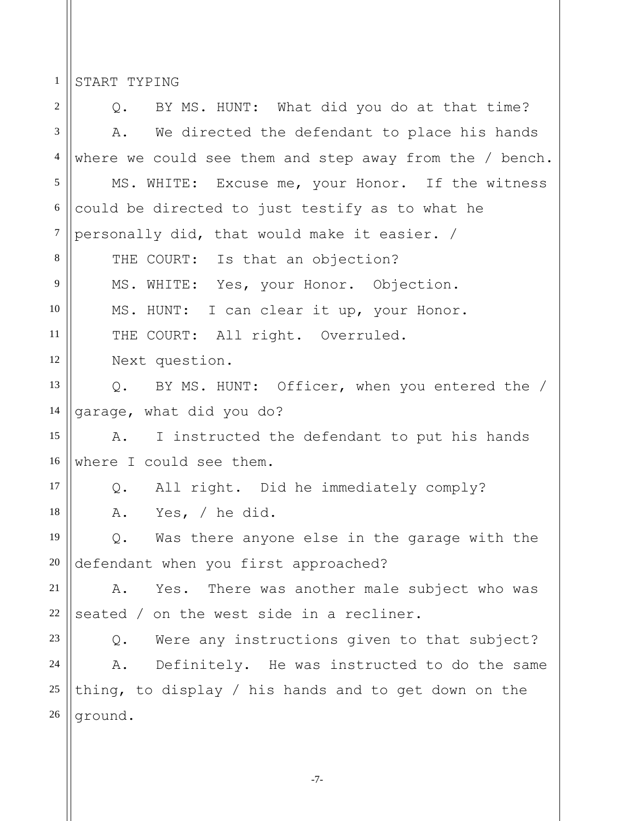1 START TYPING

2 3 4 5 6 7 8 9 10 11 12 13 14 15 16 17 18 19 20 21 22 23 24 25 26 Q. BY MS. HUNT: What did you do at that time? A. We directed the defendant to place his hands where we could see them and step away from the / bench. MS. WHITE: Excuse me, your Honor. If the witness could be directed to just testify as to what he personally did, that would make it easier. / THE COURT: Is that an objection? MS. WHITE: Yes, your Honor. Objection. MS. HUNT: I can clear it up, your Honor. THE COURT: All right. Overruled. Next question. Q. BY MS. HUNT: Officer, when you entered the / garage, what did you do? A. I instructed the defendant to put his hands where I could see them. Q. All right. Did he immediately comply? A. Yes, / he did. Q. Was there anyone else in the garage with the defendant when you first approached? A. Yes. There was another male subject who was seated / on the west side in a recliner. Q. Were any instructions given to that subject? A. Definitely. He was instructed to do the same thing, to display / his hands and to get down on the ground.

-7-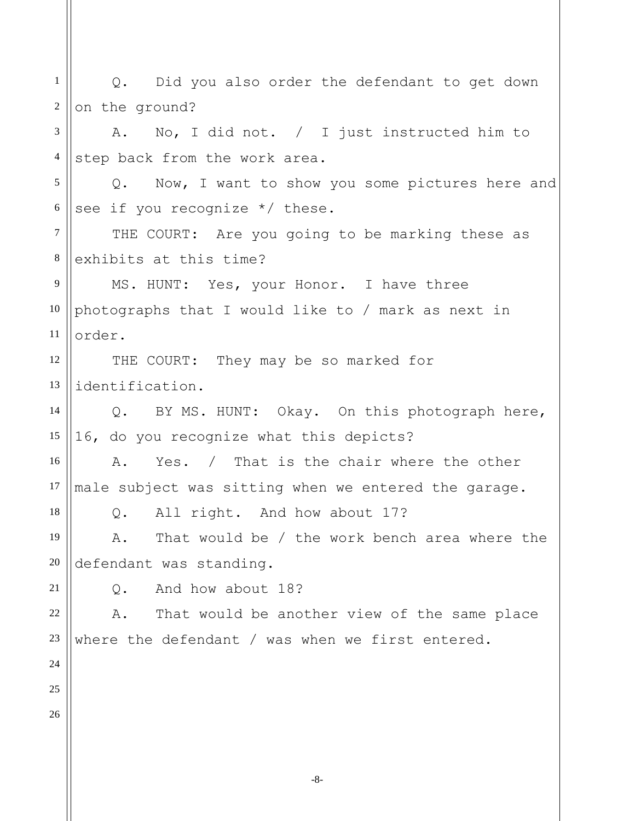-8- 1 2 3 4 5 6 7 8 9 10 11 12 13 14 15 16 17 18 19 20 21 22 23 24 25 26 Q. Did you also order the defendant to get down on the ground? A. No, I did not. / I just instructed him to step back from the work area. Q. Now, I want to show you some pictures here and see if you recognize \*/ these. THE COURT: Are you going to be marking these as exhibits at this time? MS. HUNT: Yes, your Honor. I have three photographs that I would like to / mark as next in order. THE COURT: They may be so marked for identification. Q. BY MS. HUNT: Okay. On this photograph here, 16, do you recognize what this depicts? A. Yes. / That is the chair where the other male subject was sitting when we entered the garage. Q. All right. And how about 17? A. That would be / the work bench area where the defendant was standing. Q. And how about 18? A. That would be another view of the same place where the defendant / was when we first entered.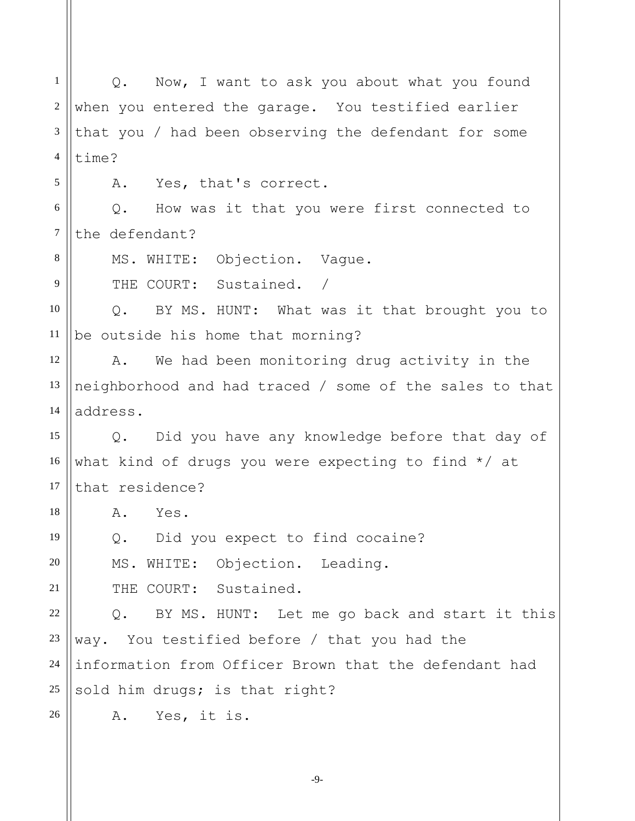1 2 3 4 5 6 7 8 9 10 11 12 13 14 15 16 17 18 19 20 21 22 23 24 25 26 Q. Now, I want to ask you about what you found when you entered the garage. You testified earlier that you / had been observing the defendant for some time? A. Yes, that's correct. Q. How was it that you were first connected to the defendant? MS. WHITE: Objection. Vague. THE COURT: Sustained. / Q. BY MS. HUNT: What was it that brought you to be outside his home that morning? A. We had been monitoring drug activity in the neighborhood and had traced / some of the sales to that address. Q. Did you have any knowledge before that day of what kind of drugs you were expecting to find \*/ at that residence? A. Yes. Q. Did you expect to find cocaine? MS. WHITE: Objection. Leading. THE COURT: Sustained. Q. BY MS. HUNT: Let me go back and start it this way. You testified before / that you had the information from Officer Brown that the defendant had sold him drugs; is that right? A. Yes, it is.

-9-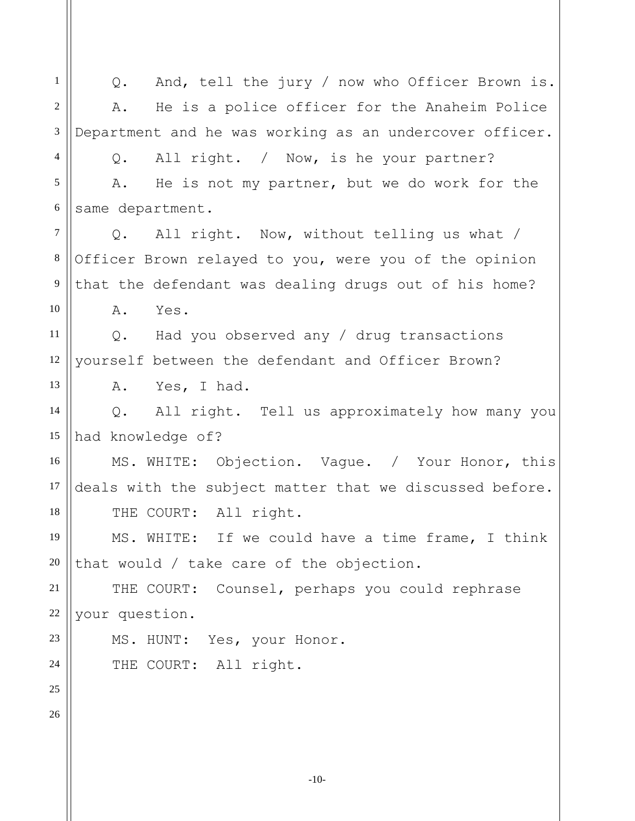1 2 3 4 5 6 7 8 9 10 11 12 13 14 15 16 17 18 19 20 21 22 23 24 25 26 Q. And, tell the jury / now who Officer Brown is. A. He is a police officer for the Anaheim Police Department and he was working as an undercover officer. Q. All right. / Now, is he your partner? A. He is not my partner, but we do work for the same department. Q. All right. Now, without telling us what / Officer Brown relayed to you, were you of the opinion that the defendant was dealing drugs out of his home? A. Yes. Q. Had you observed any / drug transactions yourself between the defendant and Officer Brown? A. Yes, I had. Q. All right. Tell us approximately how many you had knowledge of? MS. WHITE: Objection. Vague. / Your Honor, this deals with the subject matter that we discussed before. THE COURT: All right. MS. WHITE: If we could have a time frame, I think that would / take care of the objection. THE COURT: Counsel, perhaps you could rephrase your question. MS. HUNT: Yes, your Honor. THE COURT: All right.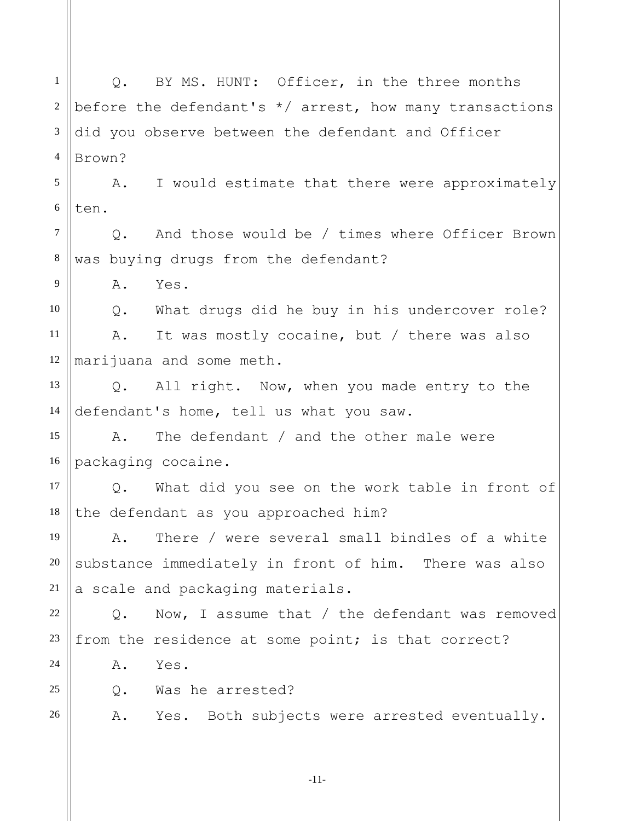1 2 3 4 5 6 7 8 9 10 11 12 13 14 15 16 17 18 19 20 21 22 23 24 25 26 Q. BY MS. HUNT: Officer, in the three months before the defendant's  $*/$  arrest, how many transactions did you observe between the defendant and Officer Brown? A. I would estimate that there were approximately ten. Q. And those would be / times where Officer Brown was buying drugs from the defendant? A. Yes. Q. What drugs did he buy in his undercover role? A. It was mostly cocaine, but / there was also marijuana and some meth. Q. All right. Now, when you made entry to the defendant's home, tell us what you saw. A. The defendant / and the other male were packaging cocaine. Q. What did you see on the work table in front of the defendant as you approached him? A. There / were several small bindles of a white substance immediately in front of him. There was also a scale and packaging materials. Q. Now, I assume that / the defendant was removed from the residence at some point; is that correct? A. Yes. Q. Was he arrested? A. Yes. Both subjects were arrested eventually.

-11-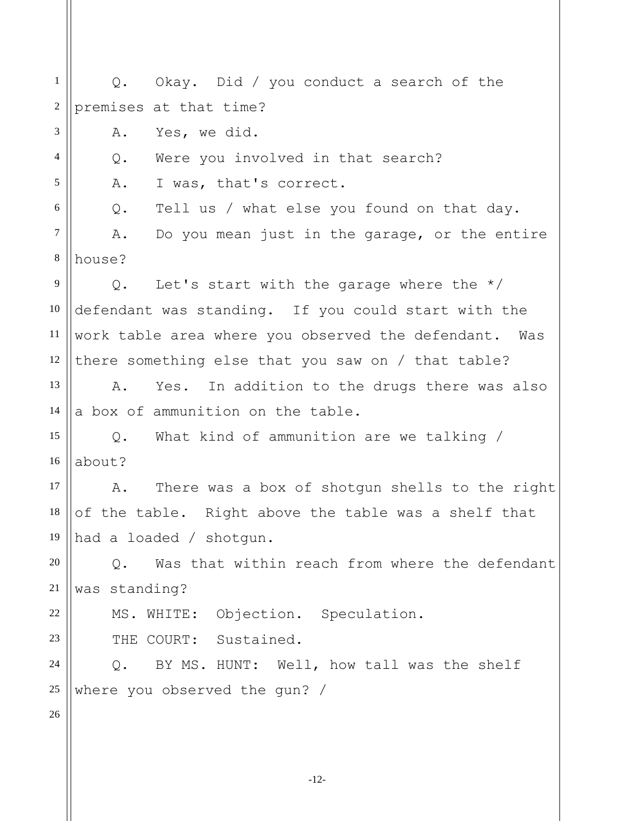1 2 3 4 5 6 7 8 9 10 11 12 13 14 15 16 17 18 19 20 21 22 23 24 25 26 Q. Okay. Did / you conduct a search of the premises at that time? A. Yes, we did. Q. Were you involved in that search? A. I was, that's correct. Q. Tell us / what else you found on that day. A. Do you mean just in the garage, or the entire house? Q. Let's start with the garage where the  $*/$ defendant was standing. If you could start with the work table area where you observed the defendant. Was there something else that you saw on / that table? A. Yes. In addition to the drugs there was also a box of ammunition on the table. Q. What kind of ammunition are we talking / about? A. There was a box of shotgun shells to the right of the table. Right above the table was a shelf that had a loaded / shotgun. Q. Was that within reach from where the defendant was standing? MS. WHITE: Objection. Speculation. THE COURT: Sustained. Q. BY MS. HUNT: Well, how tall was the shelf where you observed the gun? /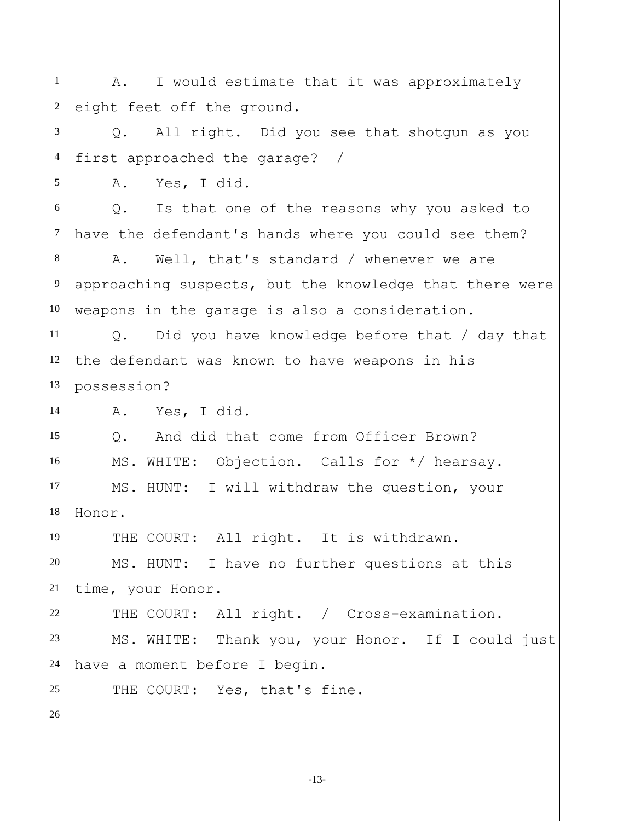1 2 3 4 5 6 7 8 9 10 11 12 13 14 15 16 17 18 19 20 21 22 23 24 25 26 A. I would estimate that it was approximately eight feet off the ground. Q. All right. Did you see that shotgun as you first approached the garage? / A. Yes, I did. Q. Is that one of the reasons why you asked to have the defendant's hands where you could see them? A. Well, that's standard / whenever we are approaching suspects, but the knowledge that there were weapons in the garage is also a consideration. Q. Did you have knowledge before that / day that the defendant was known to have weapons in his possession? A. Yes, I did. Q. And did that come from Officer Brown? MS. WHITE: Objection. Calls for \*/ hearsay. MS. HUNT: I will withdraw the question, your Honor. THE COURT: All right. It is withdrawn. MS. HUNT: I have no further questions at this time, your Honor. THE COURT: All right. / Cross-examination. MS. WHITE: Thank you, your Honor. If I could just have a moment before I begin. THE COURT: Yes, that's fine.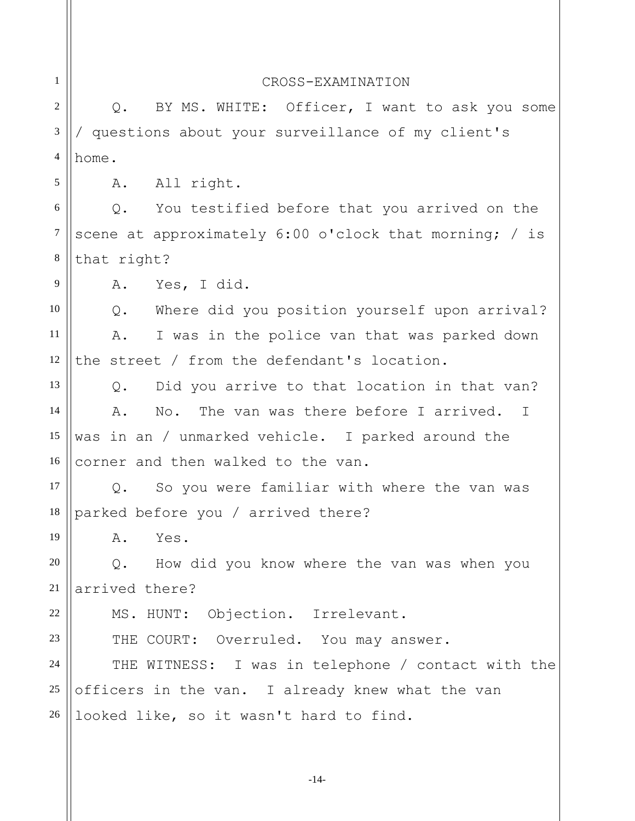| $\mathbf{1}$     | CROSS-EXAMINATION                                      |
|------------------|--------------------------------------------------------|
| $\overline{2}$   | BY MS. WHITE: Officer, I want to ask you some<br>$Q$ . |
| 3                | / questions about your surveillance of my client's     |
| $\overline{4}$   | home.                                                  |
| 5                | A. All right.                                          |
| 6                | You testified before that you arrived on the<br>Q.     |
| $\boldsymbol{7}$ | scene at approximately 6:00 o'clock that morning; / is |
| $\,8\,$          | that right?                                            |
| 9                | Yes, I did.<br>A.                                      |
| 10               | Where did you position yourself upon arrival?<br>Q.    |
| 11               | Α.<br>I was in the police van that was parked down     |
| 12               | the street / from the defendant's location.            |
| 13               | Did you arrive to that location in that van?<br>$Q$ .  |
| 14               | No. The van was there before I arrived. I<br>A.        |
| 15               | was in an / unmarked vehicle. I parked around the      |
| 16               | corner and then walked to the van.                     |
| 17               | So you were familiar with where the van was<br>Q.      |
| 18               | parked before you / arrived there?                     |
| 19               | Yes.<br>Α.                                             |
| 20               | How did you know where the van was when you<br>Q.      |
| 21               | arrived there?                                         |
| 22               | MS. HUNT: Objection. Irrelevant.                       |
| 23               | THE COURT: Overruled. You may answer.                  |
| 24               | THE WITNESS: I was in telephone / contact with the     |
| 25               | officers in the van. I already knew what the van       |
| $26\,$           | looked like, so it wasn't hard to find.                |
|                  |                                                        |

-14-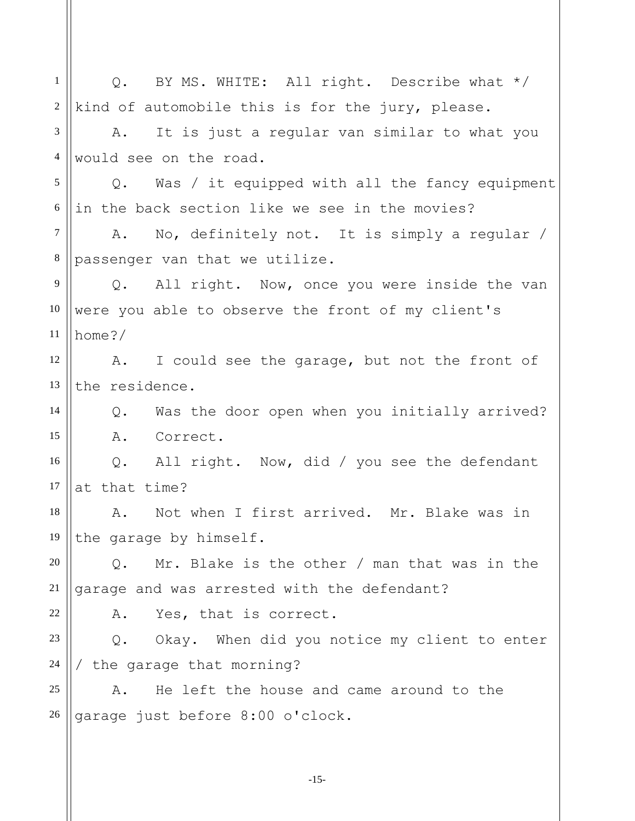1 2 3 4 5 6 7 8 9 10 11 12 13 14 15 16 17 18 19 20 21 22 23 24 25 26 Q. BY MS. WHITE: All right. Describe what \*/ kind of automobile this is for the jury, please. A. It is just a regular van similar to what you would see on the road. Q. Was / it equipped with all the fancy equipment in the back section like we see in the movies? A. No, definitely not. It is simply a regular / passenger van that we utilize. Q. All right. Now, once you were inside the van were you able to observe the front of my client's home?/ A. I could see the garage, but not the front of the residence. Q. Was the door open when you initially arrived? A. Correct. Q. All right. Now, did / you see the defendant at that time? A. Not when I first arrived. Mr. Blake was in the garage by himself. Q. Mr. Blake is the other / man that was in the garage and was arrested with the defendant? A. Yes, that is correct. Q. Okay. When did you notice my client to enter / the garage that morning? A. He left the house and came around to the garage just before 8:00 o'clock.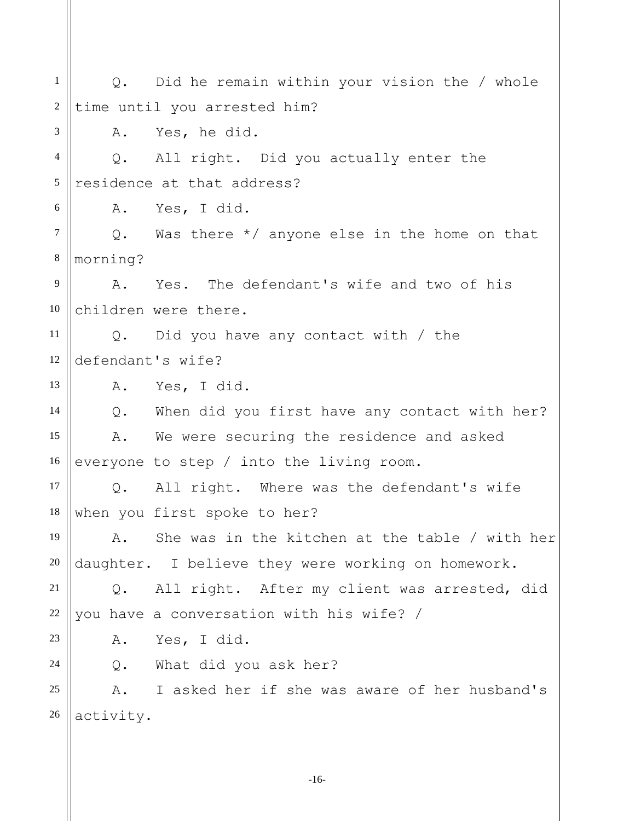1 2 3 4 5 6 7 8 9 10 11 12 13 14 15 16 17 18 19 20 21 22 23 24 25 26 Q. Did he remain within your vision the / whole time until you arrested him? A. Yes, he did. Q. All right. Did you actually enter the residence at that address? A. Yes, I did. Q. Was there \*/ anyone else in the home on that morning? A. Yes. The defendant's wife and two of his children were there. Q. Did you have any contact with / the defendant's wife? A. Yes, I did. Q. When did you first have any contact with her? A. We were securing the residence and asked everyone to step / into the living room. Q. All right. Where was the defendant's wife when you first spoke to her? A. She was in the kitchen at the table / with her daughter. I believe they were working on homework. Q. All right. After my client was arrested, did you have a conversation with his wife? / A. Yes, I did. Q. What did you ask her? A. I asked her if she was aware of her husband's activity.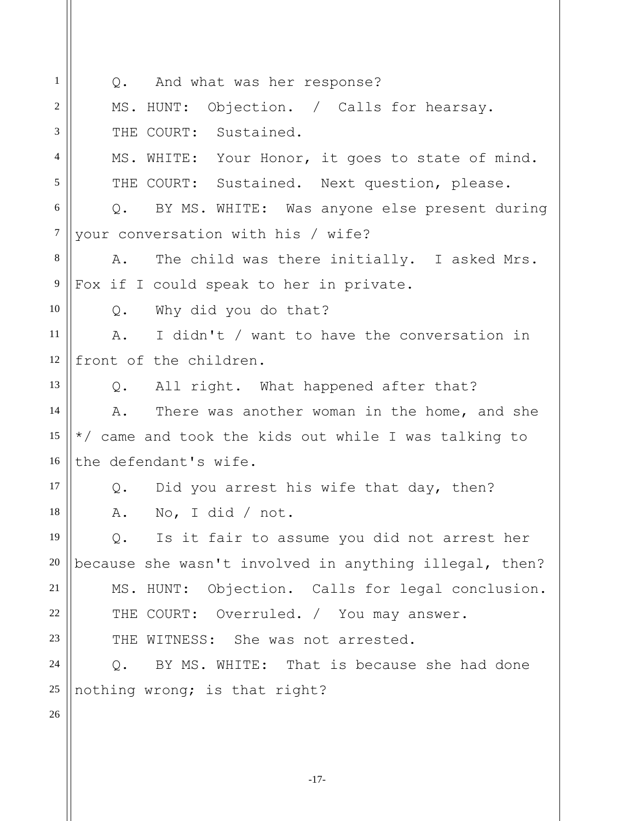| 1                | Q. And what was her response?                                |
|------------------|--------------------------------------------------------------|
| 2                | MS. HUNT: Objection. / Calls for hearsay.                    |
| 3                | THE COURT: Sustained.                                        |
| $\overline{4}$   | MS. WHITE: Your Honor, it goes to state of mind.             |
| 5                | THE COURT: Sustained. Next question, please.                 |
| 6                | Q. BY MS. WHITE: Was anyone else present during              |
| $\boldsymbol{7}$ | your conversation with his / wife?                           |
| 8                | Α.<br>The child was there initially. I asked Mrs.            |
| $\overline{9}$   | Fox if I could speak to her in private.                      |
| 10               | $Q_{\bullet}$<br>Why did you do that?                        |
| 11               | I didn't / want to have the conversation in<br>A.            |
| 12               | front of the children.                                       |
| 13               | Q. All right. What happened after that?                      |
| 14               | There was another woman in the home, and she<br>A.           |
| 15               | */ came and took the kids out while I was talking to         |
| 16               | the defendant's wife.                                        |
| 17               | Did you arrest his wife that day, then?<br>$Q_{\bullet}$     |
| 18               | No, I did / not.<br>Α.                                       |
| 19               | Is it fair to assume you did not arrest her<br>$\mathbb Q$ . |
| 20               | because she wasn't involved in anything illegal, then?       |
| 21               | MS. HUNT: Objection. Calls for legal conclusion.             |
| $22\,$           | THE COURT: Overruled. / You may answer.                      |
| 23               | WITNESS: She was not arrested.<br>THE                        |
| 24               | BY MS. WHITE: That is because she had done<br>$Q$ .          |
| 25               | nothing wrong; is that right?                                |
| 26               |                                                              |
|                  |                                                              |

-17-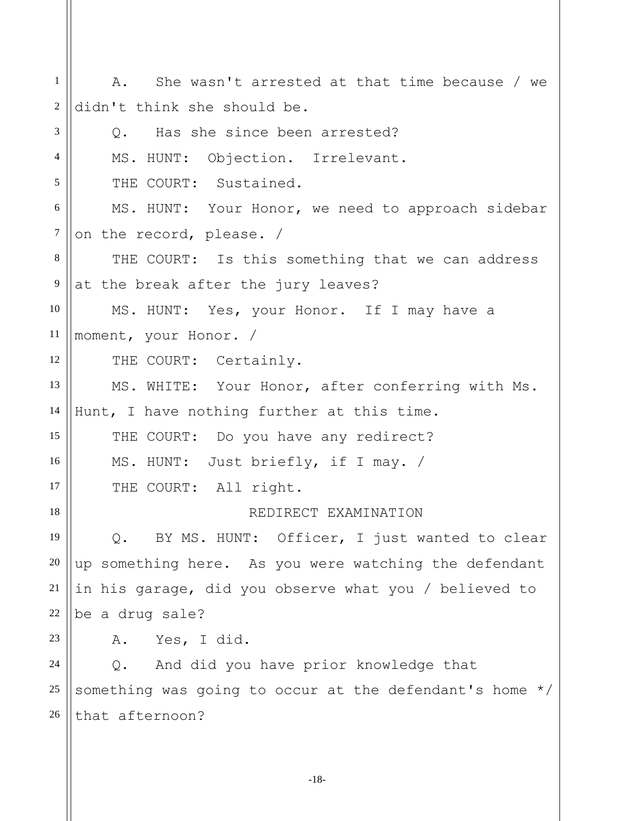1 2 3 4 5 6 7 8 9 10 11 12 13 14 15 16 17 18 19 20 21 22 23 24 25 26 A. She wasn't arrested at that time because / we didn't think she should be. Q. Has she since been arrested? MS. HUNT: Objection. Irrelevant. THE COURT: Sustained. MS. HUNT: Your Honor, we need to approach sidebar on the record, please. / THE COURT: Is this something that we can address at the break after the jury leaves? MS. HUNT: Yes, your Honor. If I may have a moment, your Honor. / THE COURT: Certainly. MS. WHITE: Your Honor, after conferring with Ms. Hunt, I have nothing further at this time. THE COURT: Do you have any redirect? MS. HUNT: Just briefly, if I may. / THE COURT: All right. REDIRECT EXAMINATION Q. BY MS. HUNT: Officer, I just wanted to clear up something here. As you were watching the defendant in his garage, did you observe what you / believed to be a drug sale? A. Yes, I did. Q. And did you have prior knowledge that something was going to occur at the defendant's home \*/ that afternoon?

-18-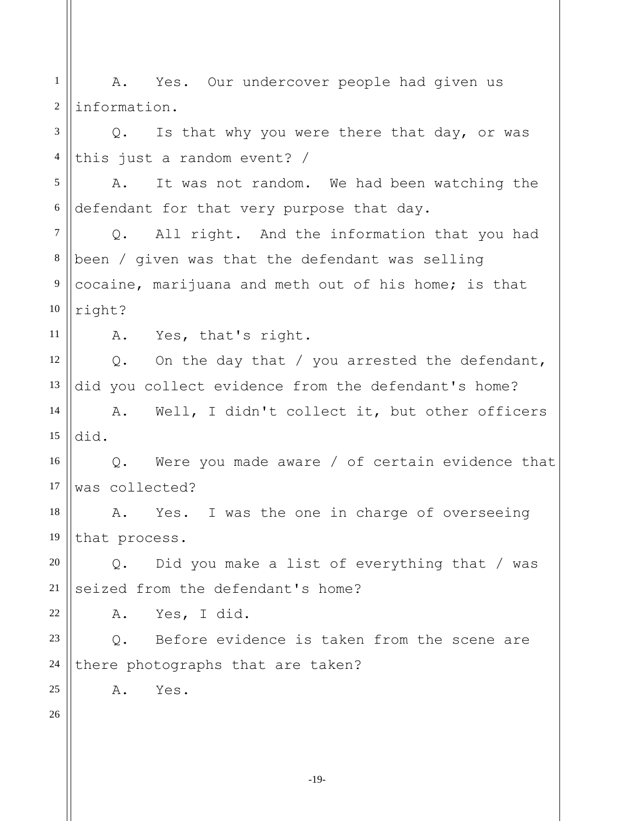1 2 3 4 5 6 7 8 9 10 11 12 13 14 15 16 17 18 19 20 21 22 23 24 25 26 A. Yes. Our undercover people had given us information. Q. Is that why you were there that day, or was this just a random event? / A. It was not random. We had been watching the defendant for that very purpose that day. Q. All right. And the information that you had been / given was that the defendant was selling cocaine, marijuana and meth out of his home; is that right? A. Yes, that's right. Q. On the day that / you arrested the defendant, did you collect evidence from the defendant's home? A. Well, I didn't collect it, but other officers did. Q. Were you made aware / of certain evidence that was collected? A. Yes. I was the one in charge of overseeing that process. Q. Did you make a list of everything that / was seized from the defendant's home? A. Yes, I did. Q. Before evidence is taken from the scene are there photographs that are taken? A. Yes.

-19-